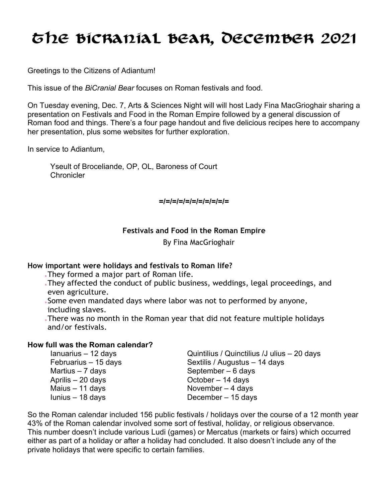# The BiCranial Bear, DECember 2021

Greetings to the Citizens of Adiantum!

This issue of the *BiCranial Bear* focuses on Roman festivals and food.

On Tuesday evening, Dec. 7, Arts & Sciences Night will will host Lady Fina MacGrioghair sharing a presentation on Festivals and Food in the Roman Empire followed by a general discussion of Roman food and things. There's a four page handout and five delicious recipes here to accompany her presentation, plus some websites for further exploration.

In service to Adiantum,

Yseult of Broceliande, OP, OL, Baroness of Court **Chronicler** 

**=/=/=/=/=/=/=/=/=/=/=**

## **Festivals and Food in the Roman Empire**

By Fina MacGrioghair

### **How important were holidays and festivals to Roman life?**

- They formed a major part of Roman life.
- They affected the conduct of public business, weddings, legal proceedings, and even agriculture.
- Some even mandated days where labor was not to performed by anyone, including slaves.
- There was no month in the Roman year that did not feature multiple holidays and/or festivals.

## **How full was the Roman calendar?**

| Ianuarius - 12 days  | Quintilius / Quinctilius / Julius - 20 days |
|----------------------|---------------------------------------------|
| Februarius - 15 days | Sextilis / Augustus - 14 days               |
| Martius $-7$ days    | September $-6$ days                         |
| Aprilis $-20$ days   | October $-14$ days                          |
| Maius $-11$ days     | November $-4$ days                          |
| lunius - 18 days     | December $-15$ days                         |

So the Roman calendar included 156 public festivals / holidays over the course of a 12 month year 43% of the Roman calendar involved some sort of festival, holiday, or religious observance. This number doesn't include various Ludi (games) or Mercatus (markets or fairs) which occurred either as part of a holiday or after a holiday had concluded. It also doesn't include any of the private holidays that were specific to certain families.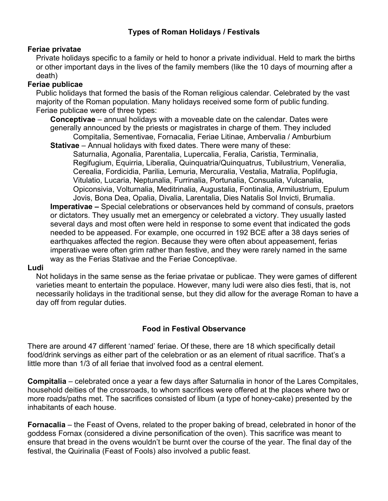#### **Feriae privatae**

Private holidays specific to a family or held to honor a private individual. Held to mark the births or other important days in the lives of the family members (like the 10 days of mourning after a death)

#### **Feriae publicae**

Public holidays that formed the basis of the Roman religious calendar. Celebrated by the vast majority of the Roman population. Many holidays received some form of public funding. Feriae publicae were of three types:

**Conceptivae** – annual holidays with a moveable date on the calendar. Dates were generally announced by the priests or magistrates in charge of them. They included Compitalia, Sementivae, Fornacalia, Feriae Litinae, Ambervalia / Amburbium

**Stativae** – Annual holidays with fixed dates. There were many of these:

Saturnalia, Agonalia, Parentalia, Lupercalia, Feralia, Caristia, Terminalia, Regifugium, Equirria, Liberalia, Quinquatria/Quinquatrus, Tubilustrium, Veneralia, Cerealia, Fordicidia, Parilia, Lemuria, Mercuralia, Vestalia, Matralia, Poplifugia, Vitulatio, Lucaria, Neptunalia, Furrinalia, Portunalia, Consualia, Vulcanalia, Opiconsivia, Volturnalia, Meditrinalia, Augustalia, Fontinalia, Armilustrium, Epulum

Jovis, Bona Dea, Opalia, Divalia, Larentalia, Dies Natalis Sol Invicti, Brumalia. **Imperativae –** Special celebrations or observances held by command of consuls, praetors or dictators. They usually met an emergency or celebrated a victory. They usually lasted several days and most often were held in response to some event that indicated the gods needed to be appeased. For example, one occurred in 192 BCE after a 38 days series of earthquakes affected the region. Because they were often about appeasement, ferias imperativae were often grim rather than festive, and they were rarely named in the same way as the Ferias Stativae and the Feriae Conceptivae.

#### **Ludi**

Not holidays in the same sense as the feriae privatae or publicae. They were games of different varieties meant to entertain the populace. However, many ludi were also dies festi, that is, not necessarily holidays in the traditional sense, but they did allow for the average Roman to have a day off from regular duties.

### **Food in Festival Observance**

There are around 47 different 'named' feriae. Of these, there are 18 which specifically detail food/drink servings as either part of the celebration or as an element of ritual sacrifice. That's a little more than 1/3 of all feriae that involved food as a central element.

**Compitalia** – celebrated once a year a few days after Saturnalia in honor of the Lares Compitales, household deities of the crossroads, to whom sacrifices were offered at the places where two or more roads/paths met. The sacrifices consisted of libum (a type of honey-cake) presented by the inhabitants of each house.

**Fornacalia** – the Feast of Ovens, related to the proper baking of bread, celebrated in honor of the goddess Fornax (considered a divine personification of the oven). This sacrifice was meant to ensure that bread in the ovens wouldn't be burnt over the course of the year. The final day of the festival, the Quirinalia (Feast of Fools) also involved a public feast.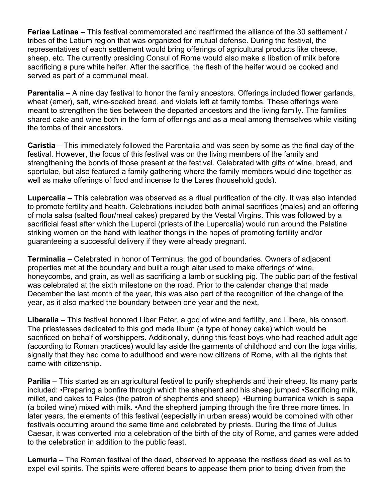**Feriae Latinae** – This festival commemorated and reaffirmed the alliance of the 30 settlement / tribes of the Latium region that was organized for mutual defense. During the festival, the representatives of each settlement would bring offerings of agricultural products like cheese, sheep, etc. The currently presiding Consul of Rome would also make a libation of milk before sacrificing a pure white heifer. After the sacrifice, the flesh of the heifer would be cooked and served as part of a communal meal.

**Parentalia** – A nine day festival to honor the family ancestors. Offerings included flower garlands, wheat (emer), salt, wine-soaked bread, and violets left at family tombs. These offerings were meant to strengthen the ties between the departed ancestors and the living family. The families shared cake and wine both in the form of offerings and as a meal among themselves while visiting the tombs of their ancestors.

**Caristia** – This immediately followed the Parentalia and was seen by some as the final day of the festival. However, the focus of this festival was on the living members of the family and strengthening the bonds of those present at the festival. Celebrated with gifts of wine, bread, and sportulae, but also featured a family gathering where the family members would dine together as well as make offerings of food and incense to the Lares (household gods).

**Lupercalia** – This celebration was observed as a ritual purification of the city. It was also intended to promote fertility and health. Celebrations included both animal sacrifices (males) and an offering of mola salsa (salted flour/meal cakes) prepared by the Vestal Virgins. This was followed by a sacrificial feast after which the Luperci (priests of the Lupercalia) would run around the Palatine striking women on the hand with leather thongs in the hopes of promoting fertility and/or guaranteeing a successful delivery if they were already pregnant.

**Terminalia** – Celebrated in honor of Terminus, the god of boundaries. Owners of adjacent properties met at the boundary and built a rough altar used to make offerings of wine, honeycombs, and grain, as well as sacrificing a lamb or suckling pig. The public part of the festival was celebrated at the sixth milestone on the road. Prior to the calendar change that made December the last month of the year, this was also part of the recognition of the change of the year, as it also marked the boundary between one year and the next.

**Liberalia** – This festival honored Liber Pater, a god of wine and fertility, and Libera, his consort. The priestesses dedicated to this god made libum (a type of honey cake) which would be sacrificed on behalf of worshippers. Additionally, during this feast boys who had reached adult age (according to Roman practices) would lay aside the garments of childhood and don the toga virilis, signally that they had come to adulthood and were now citizens of Rome, with all the rights that came with citizenship.

**Parilia** – This started as an agricultural festival to purify shepherds and their sheep. Its many parts included: •Preparing a bonfire through which the shepherd and his sheep jumped •Sacrificing milk, millet, and cakes to Pales (the patron of shepherds and sheep) •Burning burranica which is sapa (a boiled wine) mixed with milk. •And the shepherd jumping through the fire three more times. In later years, the elements of this festival (especially in urban areas) would be combined with other festivals occurring around the same time and celebrated by priests. During the time of Julius Caesar, it was converted into a celebration of the birth of the city of Rome, and games were added to the celebration in addition to the public feast.

**Lemuria** – The Roman festival of the dead, observed to appease the restless dead as well as to expel evil spirits. The spirits were offered beans to appease them prior to being driven from the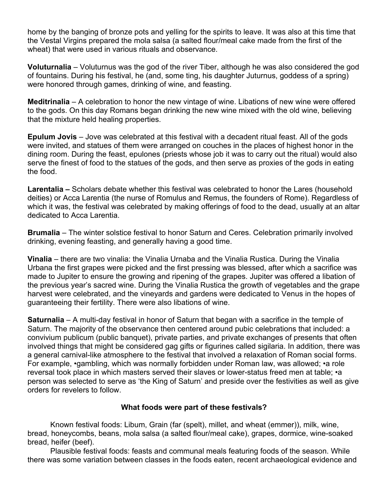home by the banging of bronze pots and yelling for the spirits to leave. It was also at this time that the Vestal Virgins prepared the mola salsa (a salted flour/meal cake made from the first of the wheat) that were used in various rituals and observance.

**Voluturnalia** – Voluturnus was the god of the river Tiber, although he was also considered the god of fountains. During his festival, he (and, some ting, his daughter Juturnus, goddess of a spring) were honored through games, drinking of wine, and feasting.

**Meditrinalia** – A celebration to honor the new vintage of wine. Libations of new wine were offered to the gods. On this day Romans began drinking the new wine mixed with the old wine, believing that the mixture held healing properties.

**Epulum Jovis** – Jove was celebrated at this festival with a decadent ritual feast. All of the gods were invited, and statues of them were arranged on couches in the places of highest honor in the dining room. During the feast, epulones (priests whose job it was to carry out the ritual) would also serve the finest of food to the statues of the gods, and then serve as proxies of the gods in eating the food.

**Larentalia –** Scholars debate whether this festival was celebrated to honor the Lares (household deities) or Acca Larentia (the nurse of Romulus and Remus, the founders of Rome). Regardless of which it was, the festival was celebrated by making offerings of food to the dead, usually at an altar dedicated to Acca Larentia.

**Brumalia** – The winter solstice festival to honor Saturn and Ceres. Celebration primarily involved drinking, evening feasting, and generally having a good time.

**Vinalia** – there are two vinalia: the Vinalia Urnaba and the Vinalia Rustica. During the Vinalia Urbana the first grapes were picked and the first pressing was blessed, after which a sacrifice was made to Jupiter to ensure the growing and ripening of the grapes. Jupiter was offered a libation of the previous year's sacred wine. During the Vinalia Rustica the growth of vegetables and the grape harvest were celebrated, and the vineyards and gardens were dedicated to Venus in the hopes of guaranteeing their fertility. There were also libations of wine.

**Saturnalia** – A multi-day festival in honor of Saturn that began with a sacrifice in the temple of Saturn. The majority of the observance then centered around pubic celebrations that included: a convivium publicum (public banquet), private parties, and private exchanges of presents that often involved things that might be considered gag gifts or figurines called sigilaria. In addition, there was a general carnival-like atmosphere to the festival that involved a relaxation of Roman social forms. For example, •gambling, which was normally forbidden under Roman law, was allowed; •a role reversal took place in which masters served their slaves or lower-status freed men at table; •a person was selected to serve as 'the King of Saturn' and preside over the festivities as well as give orders for revelers to follow.

### **What foods were part of these festivals?**

Known festival foods: Libum, Grain (far (spelt), millet, and wheat (emmer)), milk, wine, bread, honeycombs, beans, mola salsa (a salted flour/meal cake), grapes, dormice, wine-soaked bread, heifer (beef).

Plausible festival foods: feasts and communal meals featuring foods of the season. While there was some variation between classes in the foods eaten, recent archaeological evidence and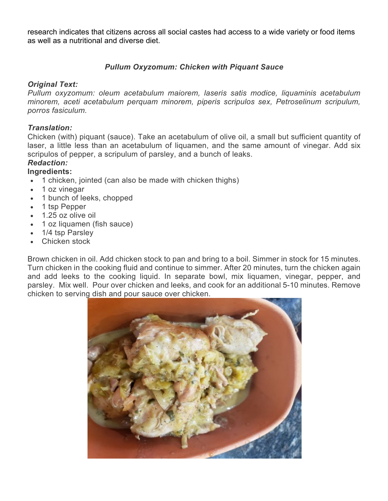research indicates that citizens across all social castes had access to a wide variety or food items as well as a nutritional and diverse diet.

## *Pullum Oxyzomum: Chicken with Piquant Sauce*

## *Original Text:*

*Pullum oxyzomum: oleum acetabulum maiorem, laseris satis modice, liquaminis acetabulum minorem, aceti acetabulum perquam minorem, piperis scripulos sex, Petroselinum scripulum, porros fasiculum.*

## *Translation:*

Chicken (with) piquant (sauce). Take an acetabulum of olive oil, a small but sufficient quantity of laser, a little less than an acetabulum of liquamen, and the same amount of vinegar. Add six scripulos of pepper, a scripulum of parsley, and a bunch of leaks.

## *Redaction:*

## **Ingredients:**

- 1 chicken, jointed (can also be made with chicken thighs)
- 1 oz vinegar
- 1 bunch of leeks, chopped
- 1 tsp Pepper
- 1.25 oz olive oil
- 1 oz liquamen (fish sauce)
- 1/4 tsp Parsley
- Chicken stock

Brown chicken in oil. Add chicken stock to pan and bring to a boil. Simmer in stock for 15 minutes. Turn chicken in the cooking fluid and continue to simmer. After 20 minutes, turn the chicken again and add leeks to the cooking liquid. In separate bowl, mix liquamen, vinegar, pepper, and parsley. Mix well. Pour over chicken and leeks, and cook for an additional 5-10 minutes. Remove chicken to serving dish and pour sauce over chicken.

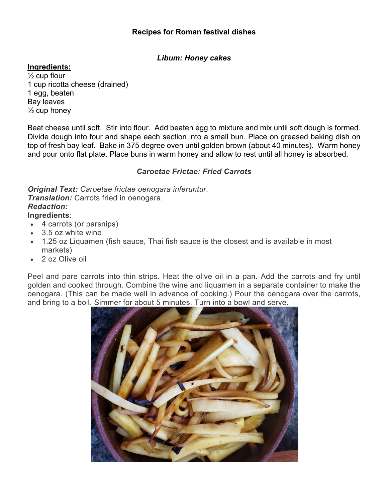### **Recipes for Roman festival dishes**

## *Libum: Honey cakes*

## **Ingredients:**

 $\frac{1}{2}$  cup flour 1 cup ricotta cheese (drained) 1 egg, beaten Bay leaves  $\frac{1}{2}$  cup honey

Beat cheese until soft. Stir into flour. Add beaten egg to mixture and mix until soft dough is formed. Divide dough into four and shape each section into a small bun. Place on greased baking dish on top of fresh bay leaf. Bake in 375 degree oven until golden brown (about 40 minutes). Warm honey and pour onto flat plate. Place buns in warm honey and allow to rest until all honey is absorbed.

## *Caroetae Frictae: Fried Carrots*

*Original Text: Caroetae frictae oenogara inferuntur*. *Translation:* Carrots fried in oenogara. *Redaction:* **Ingredients**:

- 4 carrots (or parsnips)
- 3.5 oz white wine
- 1.25 oz Liquamen (fish sauce, Thai fish sauce is the closest and is available in most markets)
- 2 oz Olive oil

Peel and pare carrots into thin strips. Heat the olive oil in a pan. Add the carrots and fry until golden and cooked through. Combine the wine and liquamen in a separate container to make the oenogara. (This can be made well in advance of cooking.) Pour the oenogara over the carrots, and bring to a boil. Simmer for about 5 minutes. Turn into a bowl and serve.

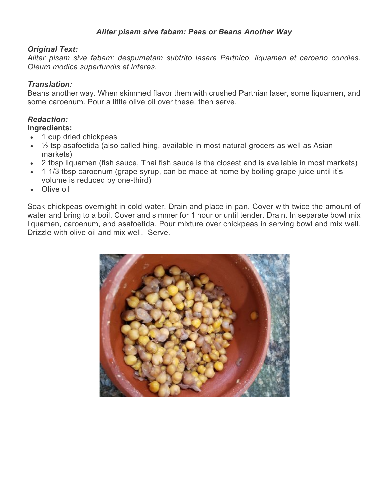## *Aliter pisam sive fabam: Peas or Beans Another Way*

### *Original Text:*

*Aliter pisam sive fabam: despumatam subtrito lasare Parthico, liquamen et caroeno condies. Oleum modice superfundis et inferes.*

## *Translation:*

Beans another way. When skimmed flavor them with crushed Parthian laser, some liquamen, and some caroenum. Pour a little olive oil over these, then serve.

## *Redaction:*

### **Ingredients:**

- 1 cup dried chickpeas
- $\frac{1}{2}$  tsp asafoetida (also called hing, available in most natural grocers as well as Asian markets)
- 2 tbsp liquamen (fish sauce, Thai fish sauce is the closest and is available in most markets)
- 1 1/3 tbsp caroenum (grape syrup, can be made at home by boiling grape juice until it's volume is reduced by one-third)
- Olive oil

Soak chickpeas overnight in cold water. Drain and place in pan. Cover with twice the amount of water and bring to a boil. Cover and simmer for 1 hour or until tender. Drain. In separate bowl mix liquamen, caroenum, and asafoetida. Pour mixture over chickpeas in serving bowl and mix well. Drizzle with olive oil and mix well. Serve.

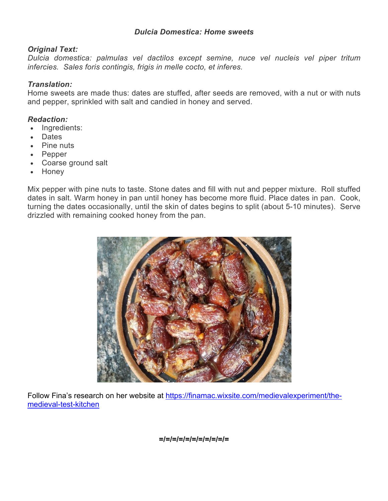#### *Dulcia Domestica: Home sweets*

#### *Original Text:*

*Dulcia domestica: palmulas vel dactilos except semine, nuce vel nucleis vel piper tritum infercies. Sales foris contingis, frigis in melle cocto, et inferes.*

#### *Translation:*

Home sweets are made thus: dates are stuffed, after seeds are removed, with a nut or with nuts and pepper, sprinkled with salt and candied in honey and served.

### *Redaction:*

- Ingredients:
- Dates
- Pine nuts
- Pepper
- Coarse ground salt
- Honey

Mix pepper with pine nuts to taste. Stone dates and fill with nut and pepper mixture. Roll stuffed dates in salt. Warm honey in pan until honey has become more fluid. Place dates in pan. Cook, turning the dates occasionally, until the skin of dates begins to split (about 5-10 minutes). Serve drizzled with remaining cooked honey from the pan.



Follow Fina's research on her website at https://finamac.wixsite.com/medievalexperiment/themedieval-test-kitchen

**=/=/=/=/=/=/=/=/=/=/=**